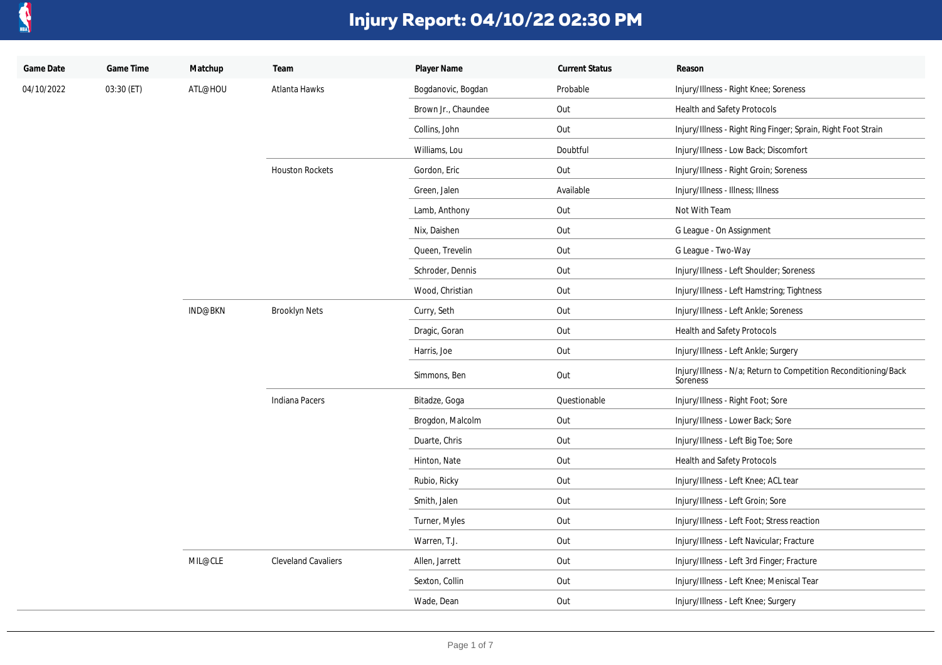

| Game Date  | Game Time  | Matchup | Team                       | Player Name         | <b>Current Status</b> | Reason                                                                      |
|------------|------------|---------|----------------------------|---------------------|-----------------------|-----------------------------------------------------------------------------|
| 04/10/2022 | 03:30 (ET) | ATL@HOU | Atlanta Hawks              | Bogdanovic, Bogdan  | Probable              | Injury/Illness - Right Knee; Soreness                                       |
|            |            |         |                            | Brown Jr., Chaundee | Out                   | Health and Safety Protocols                                                 |
|            |            |         |                            | Collins, John       | Out                   | Injury/Illness - Right Ring Finger; Sprain, Right Foot Strain               |
|            |            |         |                            | Williams, Lou       | Doubtful              | Injury/Illness - Low Back; Discomfort                                       |
|            |            |         | <b>Houston Rockets</b>     | Gordon, Eric        | Out                   | Injury/Illness - Right Groin; Soreness                                      |
|            |            |         |                            | Green, Jalen        | Available             | Injury/Illness - Illness; Illness                                           |
|            |            |         |                            | Lamb, Anthony       | Out                   | Not With Team                                                               |
|            |            |         |                            | Nix, Daishen        | Out                   | G League - On Assignment                                                    |
|            |            |         |                            | Queen, Trevelin     | Out                   | G League - Two-Way                                                          |
|            |            |         |                            | Schroder, Dennis    | Out                   | Injury/Illness - Left Shoulder; Soreness                                    |
|            |            |         |                            | Wood, Christian     | Out                   | Injury/Illness - Left Hamstring; Tightness                                  |
|            |            | IND@BKN | <b>Brooklyn Nets</b>       | Curry, Seth         | Out                   | Injury/Illness - Left Ankle; Soreness                                       |
|            |            |         |                            | Dragic, Goran       | Out                   | Health and Safety Protocols                                                 |
|            |            |         |                            | Harris, Joe         | Out                   | Injury/Illness - Left Ankle; Surgery                                        |
|            |            |         |                            | Simmons, Ben        | Out                   | Injury/Illness - N/a; Return to Competition Reconditioning/Back<br>Soreness |
|            |            |         | Indiana Pacers             | Bitadze, Goga       | Questionable          | Injury/Illness - Right Foot; Sore                                           |
|            |            | MIL@CLE |                            | Brogdon, Malcolm    | Out                   | Injury/Illness - Lower Back; Sore                                           |
|            |            |         |                            | Duarte, Chris       | Out                   | Injury/Illness - Left Big Toe; Sore                                         |
|            |            |         |                            | Hinton, Nate        | Out                   | Health and Safety Protocols                                                 |
|            |            |         |                            | Rubio, Ricky        | Out                   | Injury/Illness - Left Knee; ACL tear                                        |
|            |            |         |                            | Smith, Jalen        | Out                   | Injury/Illness - Left Groin; Sore                                           |
|            |            |         |                            | Turner, Myles       | Out                   | Injury/Illness - Left Foot; Stress reaction                                 |
|            |            |         |                            | Warren, T.J.        | Out                   | Injury/Illness - Left Navicular; Fracture                                   |
|            |            |         | <b>Cleveland Cavaliers</b> | Allen, Jarrett      | Out                   | Injury/Illness - Left 3rd Finger; Fracture                                  |
|            |            |         |                            | Sexton, Collin      | Out                   | Injury/Illness - Left Knee; Meniscal Tear                                   |
|            |            |         |                            | Wade, Dean          | Out                   | Injury/Illness - Left Knee; Surgery                                         |
|            |            |         |                            |                     |                       |                                                                             |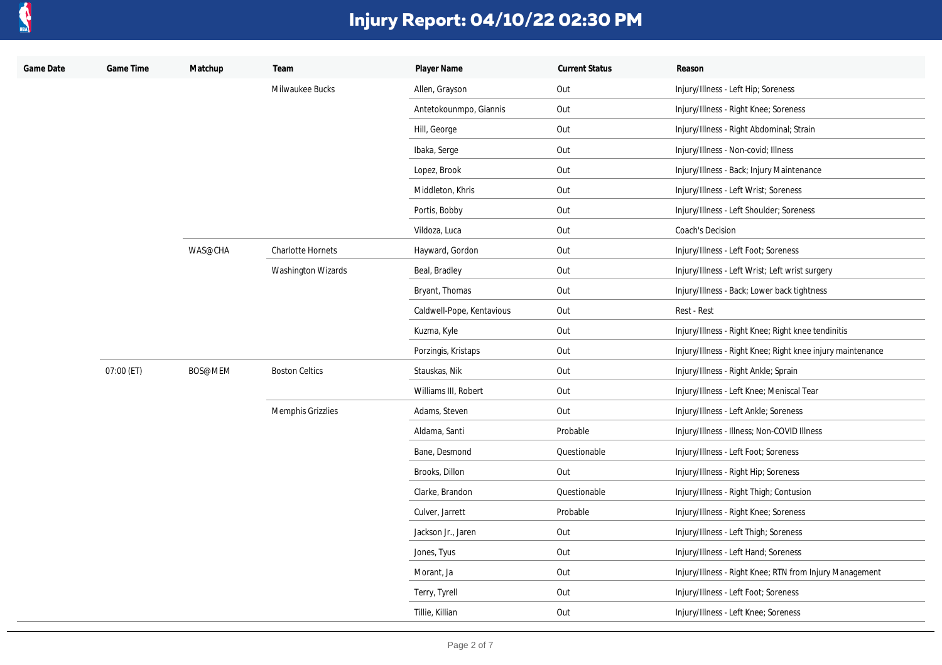

| Game Date | Game Time  | Matchup | Team                     | Player Name               | <b>Current Status</b> | Reason                                                     |
|-----------|------------|---------|--------------------------|---------------------------|-----------------------|------------------------------------------------------------|
|           |            |         | Milwaukee Bucks          | Allen, Grayson            | Out                   | Injury/Illness - Left Hip; Soreness                        |
|           |            |         |                          | Antetokounmpo, Giannis    | Out                   | Injury/Illness - Right Knee; Soreness                      |
|           |            |         |                          | Hill, George              | Out                   | Injury/Illness - Right Abdominal; Strain                   |
|           |            |         |                          | Ibaka, Serge              | Out                   | Injury/Illness - Non-covid; Illness                        |
|           |            |         |                          | Lopez, Brook              | Out                   | Injury/Illness - Back; Injury Maintenance                  |
|           |            |         |                          | Middleton, Khris          | Out                   | Injury/Illness - Left Wrist; Soreness                      |
|           |            |         |                          | Portis, Bobby             | Out                   | Injury/Illness - Left Shoulder; Soreness                   |
|           |            |         |                          | Vildoza, Luca             | Out                   | Coach's Decision                                           |
|           |            | WAS@CHA | <b>Charlotte Hornets</b> | Hayward, Gordon           | Out                   | Injury/Illness - Left Foot; Soreness                       |
|           |            |         | Washington Wizards       | Beal, Bradley             | Out                   | Injury/Illness - Left Wrist; Left wrist surgery            |
|           |            |         |                          | Bryant, Thomas            | Out                   | Injury/Illness - Back; Lower back tightness                |
|           |            |         |                          | Caldwell-Pope, Kentavious | Out                   | Rest - Rest                                                |
|           |            |         |                          | Kuzma, Kyle               | Out                   | Injury/Illness - Right Knee; Right knee tendinitis         |
|           |            |         |                          | Porzingis, Kristaps       | Out                   | Injury/Illness - Right Knee; Right knee injury maintenance |
|           | 07:00 (ET) | BOS@MEM | <b>Boston Celtics</b>    | Stauskas, Nik             | Out                   | Injury/Illness - Right Ankle; Sprain                       |
|           |            |         |                          | Williams III, Robert      | Out                   | Injury/Illness - Left Knee; Meniscal Tear                  |
|           |            |         | Memphis Grizzlies        | Adams, Steven             | Out                   | Injury/Illness - Left Ankle; Soreness                      |
|           |            |         |                          | Aldama, Santi             | Probable              | Injury/Illness - Illness; Non-COVID Illness                |
|           |            |         |                          | Bane, Desmond             | Questionable          | Injury/Illness - Left Foot; Soreness                       |
|           |            |         |                          | Brooks, Dillon            | Out                   | Injury/Illness - Right Hip; Soreness                       |
|           |            |         |                          | Clarke, Brandon           | Questionable          | Injury/Illness - Right Thigh; Contusion                    |
|           |            |         |                          | Culver, Jarrett           | Probable              | Injury/Illness - Right Knee; Soreness                      |
|           |            |         |                          | Jackson Jr., Jaren        | Out                   | Injury/Illness - Left Thigh; Soreness                      |
|           |            |         |                          | Jones, Tyus               | Out                   | Injury/Illness - Left Hand; Soreness                       |
|           |            |         |                          | Morant, Ja                | Out                   | Injury/Illness - Right Knee; RTN from Injury Management    |
|           |            |         |                          | Terry, Tyrell             | Out                   | Injury/Illness - Left Foot; Soreness                       |
|           |            |         |                          | Tillie, Killian           | Out                   | Injury/Illness - Left Knee; Soreness                       |
|           |            |         |                          |                           |                       |                                                            |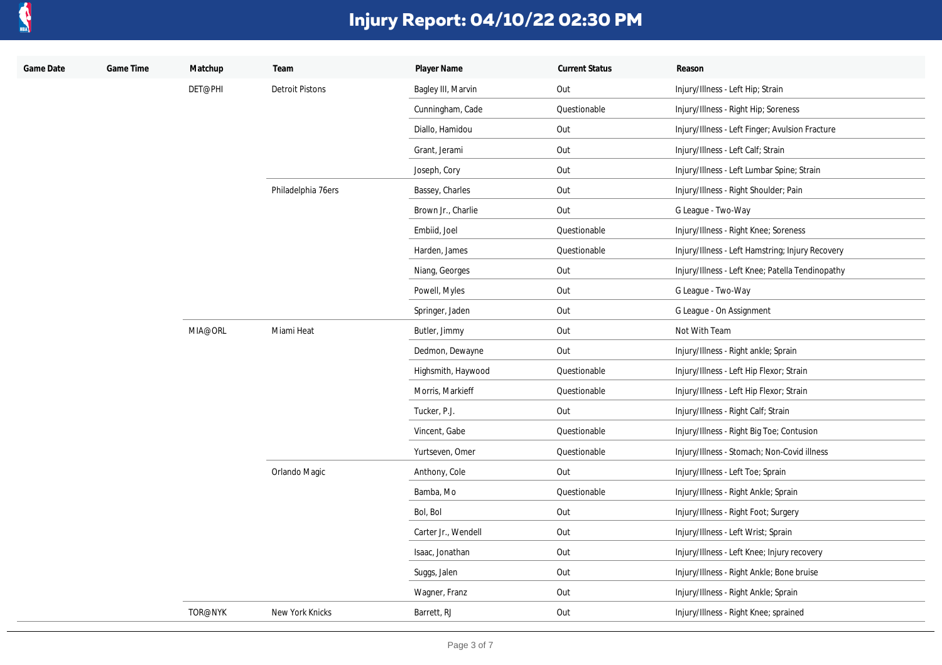

| Game Date | Game Time | Matchup | Team                   | Player Name         | <b>Current Status</b> | Reason                                           |
|-----------|-----------|---------|------------------------|---------------------|-----------------------|--------------------------------------------------|
|           |           | DET@PHI | <b>Detroit Pistons</b> | Bagley III, Marvin  | Out                   | Injury/Illness - Left Hip; Strain                |
|           |           |         |                        | Cunningham, Cade    | Questionable          | Injury/Illness - Right Hip; Soreness             |
|           |           |         |                        | Diallo, Hamidou     | Out                   | Injury/Illness - Left Finger; Avulsion Fracture  |
|           |           |         |                        | Grant, Jerami       | Out                   | Injury/Illness - Left Calf; Strain               |
|           |           |         |                        | Joseph, Cory        | Out                   | Injury/Illness - Left Lumbar Spine; Strain       |
|           |           |         | Philadelphia 76ers     | Bassey, Charles     | Out                   | Injury/Illness - Right Shoulder; Pain            |
|           |           |         |                        | Brown Jr., Charlie  | Out                   | G League - Two-Way                               |
|           |           |         |                        | Embiid, Joel        | Questionable          | Injury/Illness - Right Knee; Soreness            |
|           |           |         |                        | Harden, James       | Questionable          | Injury/Illness - Left Hamstring; Injury Recovery |
|           |           |         |                        | Niang, Georges      | Out                   | Injury/Illness - Left Knee; Patella Tendinopathy |
|           |           |         |                        | Powell, Myles       | Out                   | G League - Two-Way                               |
|           |           |         |                        | Springer, Jaden     | Out                   | G League - On Assignment                         |
|           |           | MIA@ORL | Miami Heat             | Butler, Jimmy       | Out                   | Not With Team                                    |
|           |           |         |                        | Dedmon, Dewayne     | Out                   | Injury/Illness - Right ankle; Sprain             |
|           |           |         |                        | Highsmith, Haywood  | Questionable          | Injury/Illness - Left Hip Flexor; Strain         |
|           |           |         |                        | Morris, Markieff    | Questionable          | Injury/Illness - Left Hip Flexor; Strain         |
|           |           |         |                        | Tucker, P.J.        | Out                   | Injury/Illness - Right Calf; Strain              |
|           |           |         |                        | Vincent, Gabe       | Questionable          | Injury/Illness - Right Big Toe; Contusion        |
|           |           |         |                        | Yurtseven, Omer     | Questionable          | Injury/Illness - Stomach; Non-Covid illness      |
|           |           |         | Orlando Magic          | Anthony, Cole       | Out                   | Injury/Illness - Left Toe; Sprain                |
|           |           |         |                        | Bamba, Mo           | Questionable          | Injury/Illness - Right Ankle; Sprain             |
|           |           |         |                        | Bol, Bol            | Out                   | Injury/Illness - Right Foot; Surgery             |
|           |           |         |                        | Carter Jr., Wendell | Out                   | Injury/Illness - Left Wrist; Sprain              |
|           |           |         |                        | Isaac, Jonathan     | Out                   | Injury/Illness - Left Knee; Injury recovery      |
|           |           |         |                        | Suggs, Jalen        | Out                   | Injury/Illness - Right Ankle; Bone bruise        |
|           |           |         |                        | Wagner, Franz       | Out                   | Injury/Illness - Right Ankle; Sprain             |
|           |           | TOR@NYK | New York Knicks        | Barrett, RJ         | Out                   | Injury/Illness - Right Knee; sprained            |
|           |           |         |                        |                     |                       |                                                  |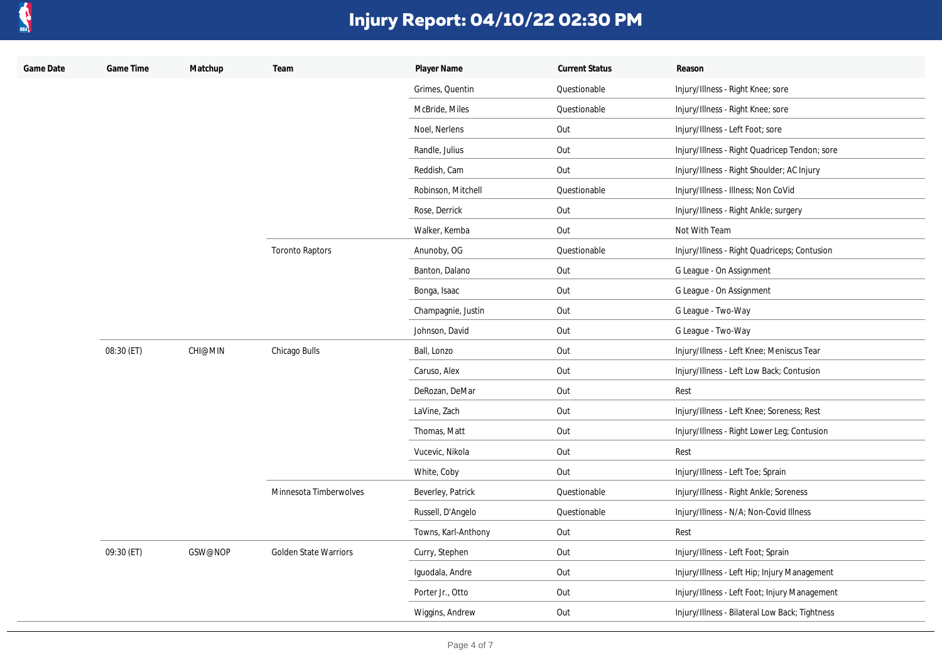

| Game Date | Game Time  | Matchup        | Team                         | Player Name         | <b>Current Status</b> | Reason                                         |
|-----------|------------|----------------|------------------------------|---------------------|-----------------------|------------------------------------------------|
|           |            |                |                              | Grimes, Quentin     | Questionable          | Injury/Illness - Right Knee; sore              |
|           |            |                |                              | McBride, Miles      | Questionable          | Injury/Illness - Right Knee; sore              |
|           |            |                |                              | Noel, Nerlens       | Out                   | Injury/Illness - Left Foot; sore               |
|           |            |                |                              | Randle, Julius      | Out                   | Injury/Illness - Right Quadricep Tendon; sore  |
|           |            |                |                              | Reddish, Cam        | Out                   | Injury/Illness - Right Shoulder; AC Injury     |
|           |            |                |                              | Robinson, Mitchell  | Questionable          | Injury/Illness - Illness; Non CoVid            |
|           |            |                |                              | Rose, Derrick       | Out                   | Injury/Illness - Right Ankle; surgery          |
|           |            |                |                              | Walker, Kemba       | Out                   | Not With Team                                  |
|           |            |                | <b>Toronto Raptors</b>       | Anunoby, OG         | Questionable          | Injury/Illness - Right Quadriceps; Contusion   |
|           |            |                |                              | Banton, Dalano      | Out                   | G League - On Assignment                       |
|           |            |                |                              | Bonga, Isaac        | Out                   | G League - On Assignment                       |
|           |            |                |                              | Champagnie, Justin  | Out                   | G League - Two-Way                             |
|           |            |                |                              | Johnson, David      | Out                   | G League - Two-Way                             |
|           | 08:30 (ET) | <b>CHI@MIN</b> | Chicago Bulls                | Ball, Lonzo         | Out                   | Injury/Illness - Left Knee; Meniscus Tear      |
|           |            |                |                              | Caruso, Alex        | Out                   | Injury/Illness - Left Low Back; Contusion      |
|           |            |                |                              | DeRozan, DeMar      | Out                   | Rest                                           |
|           |            |                |                              | LaVine, Zach        | Out                   | Injury/Illness - Left Knee; Soreness; Rest     |
|           |            |                |                              | Thomas, Matt        | Out                   | Injury/Illness - Right Lower Leg; Contusion    |
|           |            |                |                              | Vucevic, Nikola     | Out                   | Rest                                           |
|           |            |                |                              | White, Coby         | Out                   | Injury/Illness - Left Toe; Sprain              |
|           |            |                | Minnesota Timberwolves       | Beverley, Patrick   | Questionable          | Injury/Illness - Right Ankle; Soreness         |
|           |            |                |                              | Russell, D'Angelo   | Questionable          | Injury/Illness - N/A; Non-Covid Illness        |
|           |            |                |                              | Towns, Karl-Anthony | Out                   | Rest                                           |
|           | 09:30 (ET) | GSW@NOP        | <b>Golden State Warriors</b> | Curry, Stephen      | Out                   | Injury/Illness - Left Foot; Sprain             |
|           |            |                |                              | Iguodala, Andre     | Out                   | Injury/Illness - Left Hip; Injury Management   |
|           |            |                |                              | Porter Jr., Otto    | Out                   | Injury/Illness - Left Foot; Injury Management  |
|           |            |                |                              | Wiggins, Andrew     | Out                   | Injury/Illness - Bilateral Low Back; Tightness |
|           |            |                |                              |                     |                       |                                                |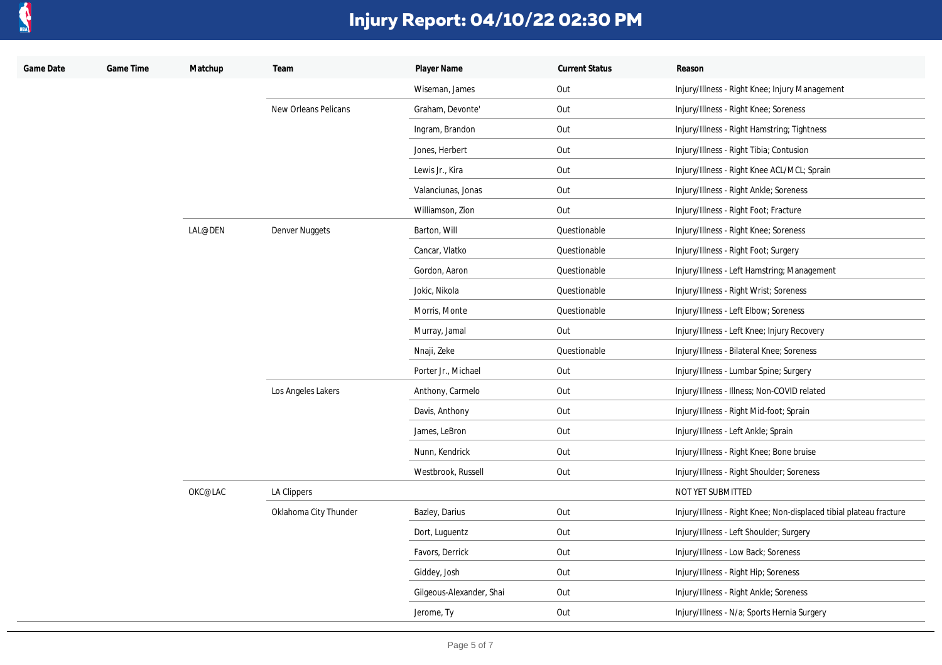

| Game Date | Game Time | Matchup | Team                  | Player Name              | <b>Current Status</b> | Reason                                                             |
|-----------|-----------|---------|-----------------------|--------------------------|-----------------------|--------------------------------------------------------------------|
|           |           |         |                       | Wiseman, James           | Out                   | Injury/Illness - Right Knee; Injury Management                     |
|           |           |         | New Orleans Pelicans  | Graham, Devonte'         | Out                   | Injury/Illness - Right Knee; Soreness                              |
|           |           |         |                       | Ingram, Brandon          | Out                   | Injury/Illness - Right Hamstring; Tightness                        |
|           |           |         |                       | Jones, Herbert           | Out                   | Injury/Illness - Right Tibia; Contusion                            |
|           |           |         |                       | Lewis Jr., Kira          | Out                   | Injury/Illness - Right Knee ACL/MCL; Sprain                        |
|           |           |         |                       | Valanciunas, Jonas       | Out                   | Injury/Illness - Right Ankle; Soreness                             |
|           |           |         |                       | Williamson, Zion         | Out                   | Injury/Illness - Right Foot; Fracture                              |
|           |           | LAL@DEN | Denver Nuggets        | Barton, Will             | Questionable          | Injury/Illness - Right Knee; Soreness                              |
|           |           |         |                       | Cancar, Vlatko           | Questionable          | Injury/Illness - Right Foot; Surgery                               |
|           |           |         |                       | Gordon, Aaron            | Questionable          | Injury/Illness - Left Hamstring; Management                        |
|           |           |         |                       | Jokic, Nikola            | Questionable          | Injury/Illness - Right Wrist; Soreness                             |
|           |           |         |                       | Morris, Monte            | Questionable          | Injury/Illness - Left Elbow; Soreness                              |
|           |           |         |                       | Murray, Jamal            | Out                   | Injury/Illness - Left Knee; Injury Recovery                        |
|           |           |         |                       | Nnaji, Zeke              | Questionable          | Injury/Illness - Bilateral Knee; Soreness                          |
|           |           |         |                       | Porter Jr., Michael      | Out                   | Injury/Illness - Lumbar Spine; Surgery                             |
|           |           |         | Los Angeles Lakers    | Anthony, Carmelo         | Out                   | Injury/Illness - Illness; Non-COVID related                        |
|           |           |         |                       | Davis, Anthony           | Out                   | Injury/Illness - Right Mid-foot; Sprain                            |
|           |           |         |                       | James, LeBron            | Out                   | Injury/Illness - Left Ankle; Sprain                                |
|           |           |         |                       | Nunn, Kendrick           | Out                   | Injury/Illness - Right Knee; Bone bruise                           |
|           |           |         |                       | Westbrook, Russell       | Out                   | Injury/Illness - Right Shoulder; Soreness                          |
|           |           | OKC@LAC | LA Clippers           |                          |                       | NOT YET SUBMITTED                                                  |
|           |           |         | Oklahoma City Thunder | Bazley, Darius           | Out                   | Injury/Illness - Right Knee; Non-displaced tibial plateau fracture |
|           |           |         |                       | Dort, Luguentz           | Out                   | Injury/Illness - Left Shoulder; Surgery                            |
|           |           |         |                       | Favors, Derrick          | Out                   | Injury/Illness - Low Back; Soreness                                |
|           |           |         |                       | Giddey, Josh             | Out                   | Injury/Illness - Right Hip; Soreness                               |
|           |           |         |                       | Gilgeous-Alexander, Shai | Out                   | Injury/Illness - Right Ankle; Soreness                             |
|           |           |         |                       | Jerome, Ty               | Out                   | Injury/Illness - N/a; Sports Hernia Surgery                        |
|           |           |         |                       |                          |                       |                                                                    |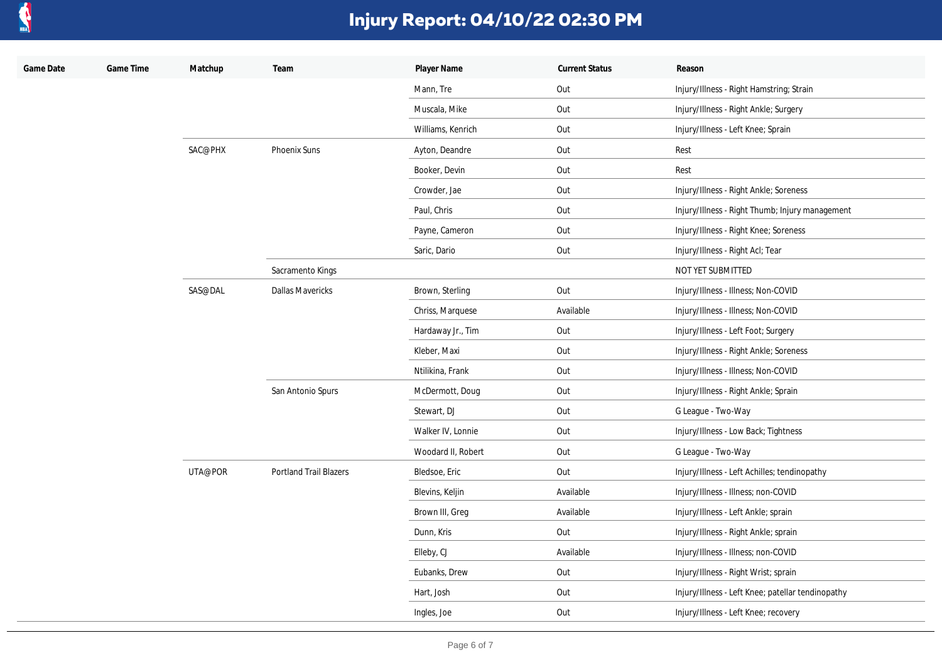

| Game Date | Game Time | Matchup | Team                          | Player Name        | <b>Current Status</b> | Reason                                            |
|-----------|-----------|---------|-------------------------------|--------------------|-----------------------|---------------------------------------------------|
|           |           |         |                               | Mann, Tre          | Out                   | Injury/Illness - Right Hamstring; Strain          |
|           |           |         |                               | Muscala, Mike      | Out                   | Injury/Illness - Right Ankle; Surgery             |
|           |           |         |                               | Williams, Kenrich  | Out                   | Injury/Illness - Left Knee; Sprain                |
|           |           | SAC@PHX | <b>Phoenix Suns</b>           | Ayton, Deandre     | Out                   | Rest                                              |
|           |           |         |                               | Booker, Devin      | Out                   | Rest                                              |
|           |           |         |                               | Crowder, Jae       | Out                   | Injury/Illness - Right Ankle; Soreness            |
|           |           |         |                               | Paul, Chris        | Out                   | Injury/Illness - Right Thumb; Injury management   |
|           |           |         |                               | Payne, Cameron     | Out                   | Injury/Illness - Right Knee; Soreness             |
|           |           |         |                               | Saric, Dario       | Out                   | Injury/Illness - Right Acl; Tear                  |
|           |           |         | Sacramento Kings              |                    |                       | NOT YET SUBMITTED                                 |
|           |           | SAS@DAL | <b>Dallas Mavericks</b>       | Brown, Sterling    | Out                   | Injury/Illness - Illness; Non-COVID               |
|           |           |         |                               | Chriss, Marquese   | Available             | Injury/Illness - Illness; Non-COVID               |
|           |           |         |                               | Hardaway Jr., Tim  | Out                   | Injury/Illness - Left Foot; Surgery               |
|           |           |         |                               | Kleber, Maxi       | Out                   | Injury/Illness - Right Ankle; Soreness            |
|           |           |         |                               | Ntilikina, Frank   | Out                   | Injury/Illness - Illness; Non-COVID               |
|           |           |         | San Antonio Spurs             | McDermott, Doug    | Out                   | Injury/Illness - Right Ankle; Sprain              |
|           |           |         |                               | Stewart, DJ        | Out                   | G League - Two-Way                                |
|           |           |         |                               | Walker IV, Lonnie  | Out                   | Injury/Illness - Low Back; Tightness              |
|           |           |         |                               | Woodard II, Robert | Out                   | G League - Two-Way                                |
|           |           | UTA@POR | <b>Portland Trail Blazers</b> | Bledsoe, Eric      | Out                   | Injury/Illness - Left Achilles; tendinopathy      |
|           |           |         |                               | Blevins, Keljin    | Available             | Injury/Illness - Illness; non-COVID               |
|           |           |         |                               | Brown III, Greg    | Available             | Injury/Illness - Left Ankle; sprain               |
|           |           |         |                               | Dunn, Kris         | Out                   | Injury/Illness - Right Ankle; sprain              |
|           |           |         |                               | Elleby, CJ         | Available             | Injury/Illness - Illness; non-COVID               |
|           |           |         |                               | Eubanks, Drew      | Out                   | Injury/Illness - Right Wrist; sprain              |
|           |           |         |                               | Hart, Josh         | Out                   | Injury/Illness - Left Knee; patellar tendinopathy |
|           |           |         |                               | Ingles, Joe        | Out                   | Injury/Illness - Left Knee; recovery              |
|           |           |         |                               |                    |                       |                                                   |